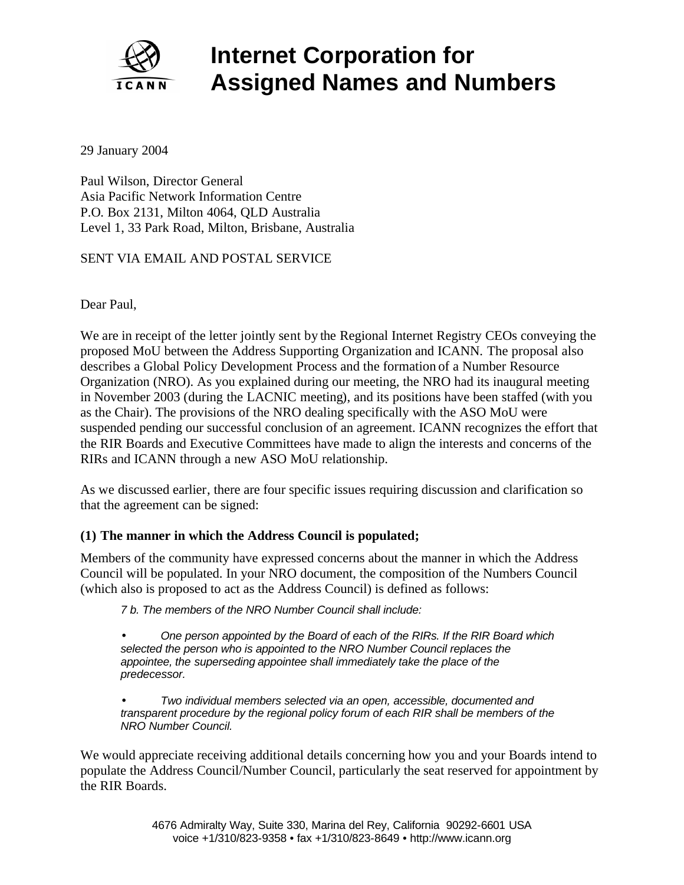

# **Internet Corporation for Assigned Names and Numbers**

29 January 2004

Paul Wilson, Director General Asia Pacific Network Information Centre P.O. Box 2131, Milton 4064, QLD Australia Level 1, 33 Park Road, Milton, Brisbane, Australia

## SENT VIA EMAIL AND POSTAL SERVICE

Dear Paul,

We are in receipt of the letter jointly sent by the Regional Internet Registry CEOs conveying the proposed MoU between the Address Supporting Organization and ICANN. The proposal also describes a Global Policy Development Process and the formation of a Number Resource Organization (NRO). As you explained during our meeting, the NRO had its inaugural meeting in November 2003 (during the LACNIC meeting), and its positions have been staffed (with you as the Chair). The provisions of the NRO dealing specifically with the ASO MoU were suspended pending our successful conclusion of an agreement. ICANN recognizes the effort that the RIR Boards and Executive Committees have made to align the interests and concerns of the RIRs and ICANN through a new ASO MoU relationship.

As we discussed earlier, there are four specific issues requiring discussion and clarification so that the agreement can be signed:

#### **(1) The manner in which the Address Council is populated;**

Members of the community have expressed concerns about the manner in which the Address Council will be populated. In your NRO document, the composition of the Numbers Council (which also is proposed to act as the Address Council) is defined as follows:

*7 b. The members of the NRO Number Council shall include:* 

• *One person appointed by the Board of each of the RIRs. If the RIR Board which selected the person who is appointed to the NRO Number Council replaces the appointee, the superseding appointee shall immediately take the place of the predecessor.* 

• *Two individual members selected via an open, accessible, documented and transparent procedure by the regional policy forum of each RIR shall be members of the NRO Number Council.*

We would appreciate receiving additional details concerning how you and your Boards intend to populate the Address Council/Number Council, particularly the seat reserved for appointment by the RIR Boards.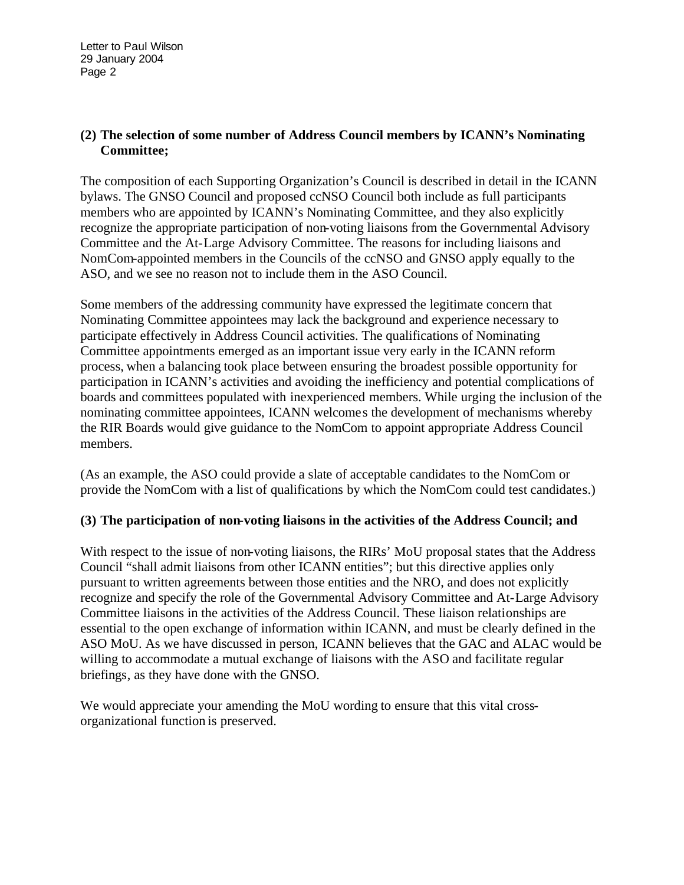## **(2) The selection of some number of Address Council members by ICANN's Nominating Committee;**

The composition of each Supporting Organization's Council is described in detail in the ICANN bylaws. The GNSO Council and proposed ccNSO Council both include as full participants members who are appointed by ICANN's Nominating Committee, and they also explicitly recognize the appropriate participation of non-voting liaisons from the Governmental Advisory Committee and the At-Large Advisory Committee. The reasons for including liaisons and NomCom-appointed members in the Councils of the ccNSO and GNSO apply equally to the ASO, and we see no reason not to include them in the ASO Council.

Some members of the addressing community have expressed the legitimate concern that Nominating Committee appointees may lack the background and experience necessary to participate effectively in Address Council activities. The qualifications of Nominating Committee appointments emerged as an important issue very early in the ICANN reform process, when a balancing took place between ensuring the broadest possible opportunity for participation in ICANN's activities and avoiding the inefficiency and potential complications of boards and committees populated with inexperienced members. While urging the inclusion of the nominating committee appointees, ICANN welcomes the development of mechanisms whereby the RIR Boards would give guidance to the NomCom to appoint appropriate Address Council members.

(As an example, the ASO could provide a slate of acceptable candidates to the NomCom or provide the NomCom with a list of qualifications by which the NomCom could test candidates.)

## **(3) The participation of non-voting liaisons in the activities of the Address Council; and**

With respect to the issue of non-voting liaisons, the RIRs' MoU proposal states that the Address Council "shall admit liaisons from other ICANN entities"; but this directive applies only pursuant to written agreements between those entities and the NRO, and does not explicitly recognize and specify the role of the Governmental Advisory Committee and At-Large Advisory Committee liaisons in the activities of the Address Council. These liaison relationships are essential to the open exchange of information within ICANN, and must be clearly defined in the ASO MoU. As we have discussed in person, ICANN believes that the GAC and ALAC would be willing to accommodate a mutual exchange of liaisons with the ASO and facilitate regular briefings, as they have done with the GNSO.

We would appreciate your amending the MoU wording to ensure that this vital crossorganizational function is preserved.